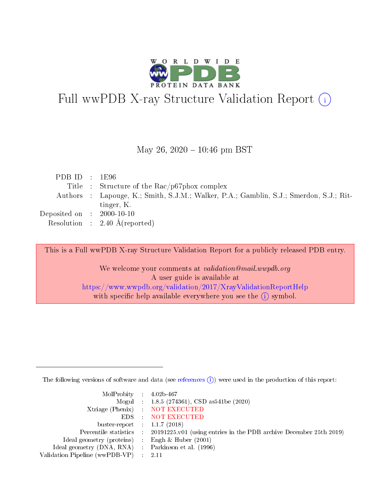

# Full wwPDB X-ray Structure Validation Report (i)

### May 26,  $2020 - 10:46$  pm BST

| PDBID : 1E96                |                                                                                        |
|-----------------------------|----------------------------------------------------------------------------------------|
|                             | Title : Structure of the Rac/p67phox complex                                           |
|                             | Authors : Lapouge, K.; Smith, S.J.M.; Walker, P.A.; Gamblin, S.J.; Smerdon, S.J.; Rit- |
|                             | tinger, K.                                                                             |
| Deposited on : $2000-10-10$ |                                                                                        |
|                             | Resolution : $2.40 \text{ Å}$ (reported)                                               |

This is a Full wwPDB X-ray Structure Validation Report for a publicly released PDB entry.

We welcome your comments at validation@mail.wwpdb.org A user guide is available at <https://www.wwpdb.org/validation/2017/XrayValidationReportHelp> with specific help available everywhere you see the  $(i)$  symbol.

The following versions of software and data (see [references](https://www.wwpdb.org/validation/2017/XrayValidationReportHelp#references)  $(i)$ ) were used in the production of this report:

| MolProbity : $4.02b-467$                            |                                                                                            |
|-----------------------------------------------------|--------------------------------------------------------------------------------------------|
|                                                     | Mogul : $1.8.5$ (274361), CSD as 541be (2020)                                              |
|                                                     | Xtriage (Phenix) NOT EXECUTED                                                              |
|                                                     | EDS : NOT EXECUTED                                                                         |
| buster-report : $1.1.7(2018)$                       |                                                                                            |
|                                                     | Percentile statistics : 20191225.v01 (using entries in the PDB archive December 25th 2019) |
| Ideal geometry (proteins) : Engh $\&$ Huber (2001)  |                                                                                            |
| Ideal geometry (DNA, RNA) : Parkinson et al. (1996) |                                                                                            |
| Validation Pipeline (wwPDB-VP) : 2.11               |                                                                                            |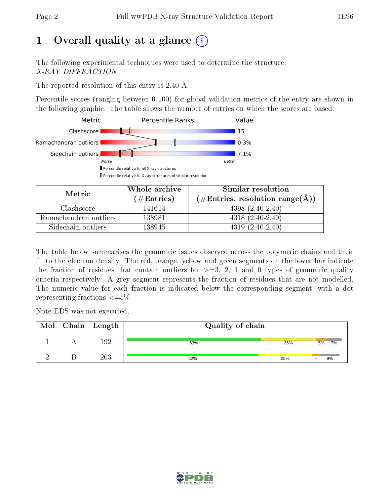# 1 [O](https://www.wwpdb.org/validation/2017/XrayValidationReportHelp#overall_quality)verall quality at a glance  $(i)$

The following experimental techniques were used to determine the structure: X-RAY DIFFRACTION

The reported resolution of this entry is 2.40 Å.

Percentile scores (ranging between 0-100) for global validation metrics of the entry are shown in the following graphic. The table shows the number of entries on which the scores are based.



| Metric                | Whole archive       | Similar resolution                                       |
|-----------------------|---------------------|----------------------------------------------------------|
|                       | (# $\rm{Entries}$ ) | $(\#\text{Entries}, \text{resolution range}(\text{\AA})$ |
| Clashscore            | 141614              | $4398(2.40-2.40)$                                        |
| Ramachandran outliers | 138981              | $4318(2.40-2.40)$                                        |
| Sidechain outliers    | 138945              | $4319(2.40-2.40)$                                        |

The table below summarises the geometric issues observed across the polymeric chains and their fit to the electron density. The red, orange, yellow and green segments on the lower bar indicate the fraction of residues that contain outliers for  $\geq=3$ , 2, 1 and 0 types of geometric quality criteria respectively. A grey segment represents the fraction of residues that are not modelled. The numeric value for each fraction is indicated below the corresponding segment, with a dot representing fractions  $\leq=5\%$ 

Note EDS was not executed.

| Mol | $Chain \  Length$ | Quality of chain |     |          |
|-----|-------------------|------------------|-----|----------|
|     | 192               | 63%              | 26% | 7%<br>5% |
|     | 203               | 62%              | 25% | 9%       |

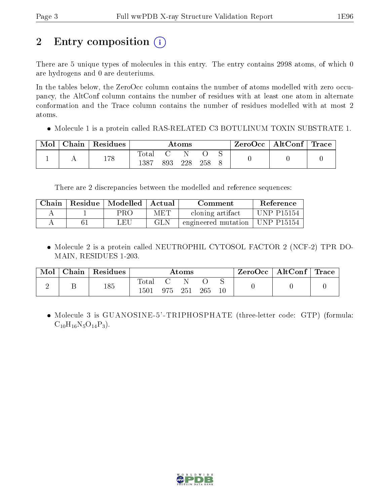# 2 Entry composition (i)

There are 5 unique types of molecules in this entry. The entry contains 2998 atoms, of which 0 are hydrogens and 0 are deuteriums.

In the tables below, the ZeroOcc column contains the number of atoms modelled with zero occupancy, the AltConf column contains the number of residues with at least one atom in alternate conformation and the Trace column contains the number of residues modelled with at most 2 atoms.

Molecule 1 is a protein called RAS-RELATED C3 BOTULINUM TOXIN SUBSTRATE 1.

| Mol | Chain   $Residues$ |                         | $\rm{Atoms}$ |  | ZeroOcc   AltConf   Trace |  |
|-----|--------------------|-------------------------|--------------|--|---------------------------|--|
|     | 178                | $_{\rm Total}$<br>-1387 | 228          |  |                           |  |

There are 2 discrepancies between the modelled and reference sequences:

| Chain | Residue   Modelled   Actual |     | Comment                          | Reference         |
|-------|-----------------------------|-----|----------------------------------|-------------------|
|       | PRO-                        | MET | cloning artifact                 | <b>UNP P15154</b> |
|       | LEU                         | GLN | engineered mutation   UNP P15154 |                   |

 Molecule 2 is a protein called NEUTROPHIL CYTOSOL FACTOR 2 (NCF-2) TPR DO-MAIN, RESIDUES 1-203.

| Mol | $\pm$ Chain $\pm$ | $\perp$ Residues |                      | Atoms   |     | $\text{ZeroOcc} \mid \text{AltConf} \mid \text{Trace}$ |  |
|-----|-------------------|------------------|----------------------|---------|-----|--------------------------------------------------------|--|
| ↩   |                   | 185              | $\rm Total$<br>' 501 | 975 251 | 265 |                                                        |  |

 Molecule 3 is GUANOSINE-5'-TRIPHOSPHATE (three-letter code: GTP) (formula:  $C_{10}H_{16}N_5O_{14}P_3$ .

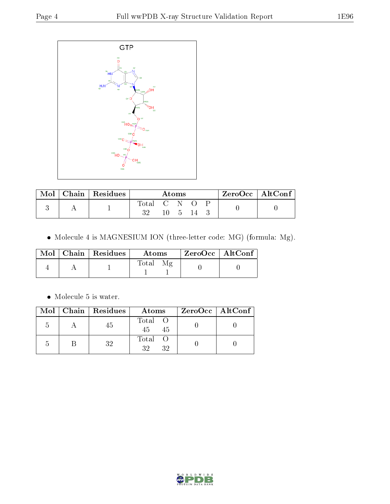

| Mol | $\top$ Chain   Residues | Atoms     |  |       | $\rm ZeroOcc \mid AltConf$ |  |
|-----|-------------------------|-----------|--|-------|----------------------------|--|
|     |                         | [otal C N |  |       |                            |  |
|     |                         | າາ        |  | - 5 - |                            |  |

 $\bullet$  Molecule 4 is MAGNESIUM ION (three-letter code: MG) (formula: Mg).

|  | $\text{Mol}$   Chain   Residues | Atoms | $ZeroOcc$   AltConf |
|--|---------------------------------|-------|---------------------|
|  |                                 | Total |                     |

 $\bullet\,$  Molecule 5 is water.

|    | Mol   Chain   Residues | Atoms               | ZeroOcc   AltConf |
|----|------------------------|---------------------|-------------------|
| .) | 45                     | Total O<br>45<br>45 |                   |
|    | 32                     | Total<br>32         |                   |

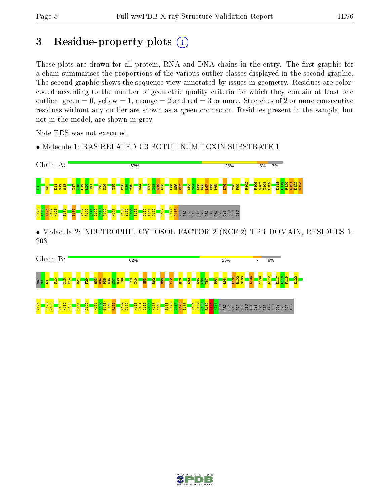# 3 Residue-property plots  $(i)$

These plots are drawn for all protein, RNA and DNA chains in the entry. The first graphic for a chain summarises the proportions of the various outlier classes displayed in the second graphic. The second graphic shows the sequence view annotated by issues in geometry. Residues are colorcoded according to the number of geometric quality criteria for which they contain at least one outlier: green  $= 0$ , yellow  $= 1$ , orange  $= 2$  and red  $= 3$  or more. Stretches of 2 or more consecutive residues without any outlier are shown as a green connector. Residues present in the sample, but not in the model, are shown in grey.

Note EDS was not executed.

• Molecule 1: RAS-RELATED C3 BOTULINUM TOXIN SUBSTRATE 1



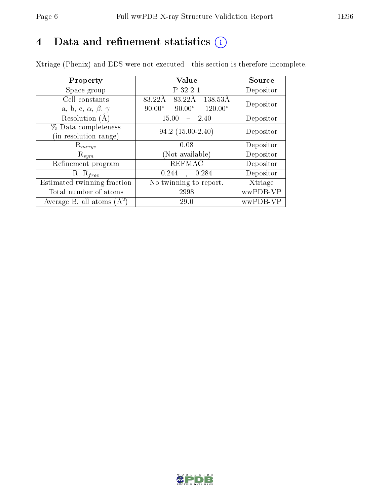# 4 Data and refinement statistics  $(i)$

Xtriage (Phenix) and EDS were not executed - this section is therefore incomplete.

| Property                               | Value                                              | Source    |
|----------------------------------------|----------------------------------------------------|-----------|
| Space group                            | P 32 2 1                                           | Depositor |
| Cell constants                         | 83.22Å<br>138.53Å<br>83.22Å                        | Depositor |
| a, b, c, $\alpha$ , $\beta$ , $\gamma$ | $120.00^{\circ}$<br>$90.00^\circ$<br>$90.00^\circ$ |           |
| Resolution (A)                         | 15.00<br>- 2.40                                    | Depositor |
| % Data completeness                    | $94.2(15.00-2.40)$                                 | Depositor |
| (in resolution range)                  |                                                    |           |
| $R_{merge}$                            | 0.08                                               | Depositor |
| $\mathrm{R}_{sym}$                     | (Not available)                                    | Depositor |
| Refinement program                     | <b>REFMAC</b>                                      | Depositor |
| $R, R_{free}$                          | 0.244<br>0.284<br>$\mathcal{L}_{\mathcal{A}}$      | Depositor |
| Estimated twinning fraction            | No twinning to report.                             | Xtriage   |
| Total number of atoms                  | 2998                                               | wwPDB-VP  |
| Average B, all atoms $(A^2)$           | 29.0                                               | wwPDB-VP  |

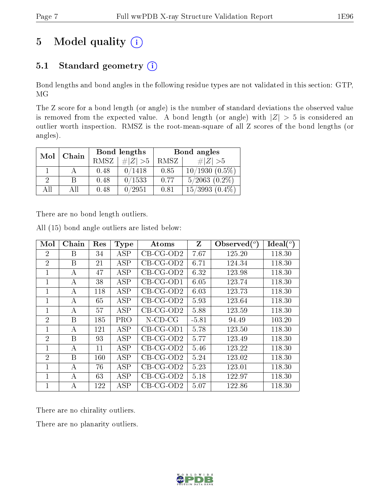# 5 Model quality  $(i)$

# 5.1 Standard geometry  $(i)$

Bond lengths and bond angles in the following residue types are not validated in this section: GTP, MG

The Z score for a bond length (or angle) is the number of standard deviations the observed value is removed from the expected value. A bond length (or angle) with  $|Z| > 5$  is considered an outlier worth inspection. RMSZ is the root-mean-square of all Z scores of the bond lengths (or angles).

| Mol | Chain |      | Bond lengths | Bond angles |                    |  |
|-----|-------|------|--------------|-------------|--------------------|--|
|     |       | RMSZ | $\# Z  > 5$  | RMSZ        | # $ Z  > 5$        |  |
|     |       | 0.48 | 0/1418       | 0.85        | $10/1930(0.5\%)$   |  |
| 2   | В     | 0.48 | 0/1533       | 0.77        | $5/2063$ $(0.2\%)$ |  |
| All | Αll   | 0.48 | 0/2951       | 0.81        | $15/3993(0.4\%)$   |  |

There are no bond length outliers.

| Mol            | Chain        | Res | <b>Type</b> | Atoms       | Z       | Observed $(^\circ)$ | $Ideal(^o)$ |
|----------------|--------------|-----|-------------|-------------|---------|---------------------|-------------|
| $\overline{2}$ | B            | 34  | ASP         | $CB-CG-OD2$ | 7.67    | 125.20              | 118.30      |
| $\overline{2}$ | В            | 21  | ASP         | $CB-CG-OD2$ | 6.71    | 124.34              | 118.30      |
| 1              | А            | 47  | ASP         | $CB-CG-OD2$ | 6.32    | 123.98              | 118.30      |
| 1              | А            | 38  | ASP         | $CB-CG-OD1$ | 6.05    | 123.74              | 118.30      |
| 1              | А            | 118 | ASP         | $CB-CG-OD2$ | 6.03    | 123.73              | 118.30      |
| 1              | A            | 65  | ASP         | $CB-CG-OD2$ | 5.93    | 123.64              | 118.30      |
| 1              | А            | 57  | ASP         | $CB-CG-OD2$ | 5.88    | 123.59              | 118.30      |
| $\overline{2}$ | <sub>B</sub> | 185 | <b>PRO</b>  | $N$ -CD-CG  | $-5.81$ | 94.49               | 103.20      |
| 1              | A            | 121 | ASP         | $CB-CG-OD1$ | 5.78    | 123.50              | 118.30      |
| $\overline{2}$ | B            | 93  | ASP         | $CB-CG-OD2$ | 5.77    | 123.49              | 118.30      |
| 1              | A            | 11  | <b>ASP</b>  | $CB-CG-OD2$ | 5.46    | 123.22              | 118.30      |
| $\overline{2}$ | <sub>B</sub> | 160 | ASP         | $CB-CG-OD2$ | 5.24    | 123.02              | 118.30      |
| 1              | А            | 76  | ASP         | $CB-CG-OD2$ | 5.23    | 123.01              | 118.30      |
| 1              | A            | 63  | ASP         | $CB-CG-OD2$ | 5.18    | 122.97              | 118.30      |
| $\mathbf 1$    | A            | 122 | ASP         | $CB-CG-OD2$ | 5.07    | 122.86              | 118.30      |

All (15) bond angle outliers are listed below:

There are no chirality outliers.

There are no planarity outliers.

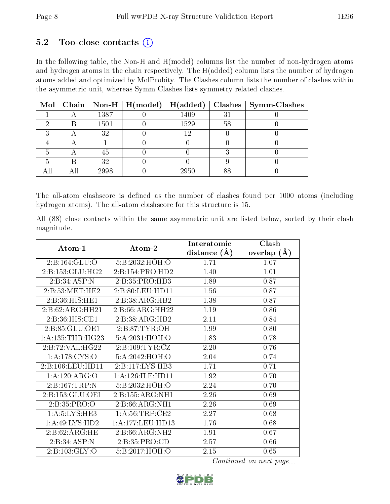# $5.2$  Too-close contacts  $(i)$

In the following table, the Non-H and H(model) columns list the number of non-hydrogen atoms and hydrogen atoms in the chain respectively. The H(added) column lists the number of hydrogen atoms added and optimized by MolProbity. The Clashes column lists the number of clashes within the asymmetric unit, whereas Symm-Clashes lists symmetry related clashes.

|  |      | Mol   Chain   Non-H   $H (model)$ | H(added) |    | $Clashes$   Symm-Clashes |
|--|------|-----------------------------------|----------|----|--------------------------|
|  | 1387 |                                   | 1409     | 3  |                          |
|  | 1501 |                                   | 1529     | 58 |                          |
|  | 32   |                                   | 12       |    |                          |
|  |      |                                   |          |    |                          |
|  | 45   |                                   |          |    |                          |
|  | 32   |                                   |          |    |                          |
|  | 2998 |                                   | 2950     | 88 |                          |

The all-atom clashscore is defined as the number of clashes found per 1000 atoms (including hydrogen atoms). The all-atom clashscore for this structure is 15.

All (88) close contacts within the same asymmetric unit are listed below, sorted by their clash magnitude.

|                      |                                       | Interatomic      | Clash         |  |
|----------------------|---------------------------------------|------------------|---------------|--|
| $Atom-1$             | $\boldsymbol{\mathrm{Atom}\text{-}2}$ | distance $(\AA)$ | overlap $(A)$ |  |
| 2:B:164:GLU:O        | 5:B:2032:HOH:O                        | 1.71             | 1.07          |  |
| 2:B:153:GLU:HG2      | 2:B:154:PRO:HD2                       | 1.40             | 1.01          |  |
| 2:B:34:ASP:N         | 2:B:35:PRO:HD3                        | 1.89             | 0.87          |  |
| 2:B:53:MET:HE2       | 2:B:80:LEU:HD11                       | 1.56             | 0.87          |  |
| 2:B:36:HIS:HE1       | 2:B:38:ARG:HB2                        | 1.38             | 0.87          |  |
| 2:B:62:ARG:HH21      | 2:B:66:ARG:HH22                       | 1.19             | 0.86          |  |
| 2:B:36:HIS:CE1       | 2:B:38:ARG:HB2                        | 2.11             | 0.84          |  |
| 2:B:85:GLU:OE1       | 2: B:87: TYR:OH                       | 1.99             | 0.80          |  |
| 1: A: 135: THR: HG23 | 5:A:2031:HOH:O                        | 1.83             | 0.78          |  |
| 2:B:72:VAL:HG22      | 2: B: 109: TYR: CZ                    | 2.20             | 0.76          |  |
| 1: A:178: CYS:O      | 5:A:2042:HOH:O                        | 2.04             | 0.74          |  |
| 2:B:106:LEU:HD11     | 2:B:117:LYS:HB3                       | 1.71             | 0.71          |  |
| 1:A:120:ARG:O        | 1: A:126: ILE: HD11                   | 1.92             | 0.70          |  |
| 2:B:167:TRP:N        | 5:B:2032:HOH:O                        | 2.24             | 0.70          |  |
| 2: B: 153: GLU: OE1  | 2: B: 155: ARG: NH1                   | 2.26             | 0.69          |  |
| 2:B:35:PRO:O         | 2:B:66:ARG:NH1                        | 2.26             | 0.69          |  |
| 1: A:5:LYS:HE3       | 1: A:56:TRP:CE2                       | 2.27             | 0.68          |  |
| 1:A:49:LYS:HD2       | 1:A:177:LEU:HD13                      | 1.76             | 0.68          |  |
| 2:B:62:ARG:HE        | 2:B:66:ARG:NH2                        | 1.91             | 0.67          |  |
| 2:B:34:ASP:N         | 2:B:35:PRO:CD                         | 2.57             | 0.66          |  |
| 2:B:103:GLY:O        | 5:B:2017:HOH:O                        | 2.15             | 0.65          |  |

Continued on next page...

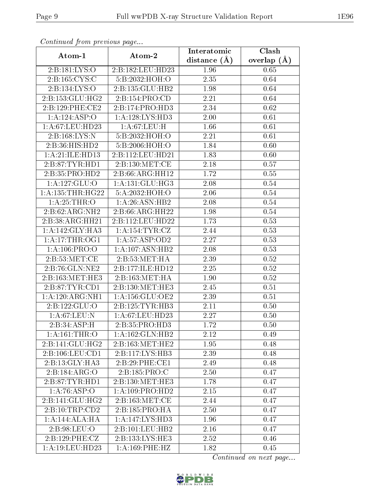| Communica from precious page      |                     | Interatomic       | Clash         |  |
|-----------------------------------|---------------------|-------------------|---------------|--|
| Atom-1                            | Atom-2              | distance $(A)$    | overlap $(A)$ |  |
| 2:B:181:LYS:O                     | 2:B:182:LEU:HD23    | 1.96              | 0.65          |  |
| 2:B:165:CYS:C                     | 5:B:2032:HOH:O      | 2.35              | 0.64          |  |
| 2:B:134:LYS:O                     | 2:B:135:GLU:HB2     | 1.98              | 0.64          |  |
| 2:B:153:GLU:HG2                   | 2: B: 154: PRO: CD  | 2.21              | 0.64          |  |
| 2:B:129:PHE:CE2                   | 2:B:174:PRO:HD3     | 2.34              | 0.62          |  |
| 1:A:124:ASP:O                     | 1: A: 128: LYS: HD3 | 2.00              | 0.61          |  |
| 1:A:67:LEU:HD23                   | 1:A:67:LEU:H        | 1.66              | 0.61          |  |
| 2:B:168:LYS:N                     | 5:B:2032:HOH:O      | 2.21              | 0.61          |  |
| 2:B:36:HIS:HD2                    | 5:B:2006:HOH:O      | 1.84              | 0.60          |  |
| 1: A:21: ILE: HD13                | 2:B:112:LEU:HD21    | 1.83              | 0.60          |  |
| 2:B:87:TYR:HD1                    | 2:B:130:MET:CE      | 2.18              | 0.57          |  |
| $2:B:35:P\overline{{\rm RO:HD2}}$ | 2:B:66:ARG:HH12     | 1.72              | $0.55\,$      |  |
| 1:A:127:GLU:O                     | 1: A: 131: GLU: HG3 | 2.08              | 0.54          |  |
| 1:A:135:THR:HG22                  | 5:A:2032:HOH:O      | 2.06              | 0.54          |  |
| 1: A:25:THR:O                     | 1:A:26:ASN:HB2      | 2.08              | 0.54          |  |
| 2:B:62:ARG:NH2                    | 2:B:66:ARG:HH22     | 1.98              | 0.54          |  |
| 2:B:38:ARG:HH21                   | 2:B:112:LEU:HD22    | 1.73              | 0.53          |  |
| 1: A:142: GLY:HA3                 | 1: A: 154: TYR: CZ  | 2.44              | 0.53          |  |
| 1: A:17:THR:OG1                   | 1:A:57:ASP:OD2      | 2.27              | 0.53          |  |
| 1: A:106: PRO:O                   | 1:A:107:ASN:HB2     | 2.08              | 0.53          |  |
| 2: B:53:MET:CE                    | 2: B:53:MET:HA      | 2.39              | 0.52          |  |
| 2:B:76:GLN:NE2                    | 2:B:177:ILE:HD12    | 2.25              | 0.52          |  |
| 2:B:163:MET:HE3                   | 2:B:163:MET:HA      | 1.90              | 0.52          |  |
| 2:B:87:TYR:CD1                    | 2:B:130:MET:HE3     | 2.45              | 0.51          |  |
| 1:A:120:ARG:NH1                   | 1: A: 156: GLU: OE2 | 2.39              | 0.51          |  |
| 2:B:122:GLU:O                     | 2:B:125:TYR:HB3     | $\overline{2.11}$ | 0.50          |  |
| 1: A:67:LEU: N                    | 1: A:67:LEU:HD23    | 2.27              | 0.50          |  |
| 2:B:34:ASP:H                      | 2:B:35:PRO:HD3      | 1.72              | 0.50          |  |
| 1:A:161:THR:O                     | 1: A: 162: GLN: HB2 | 2.12              | 0.49          |  |
| 2:B:141:GLU:HG2                   | 2:B:163:MET:HE2     | 1.95              | 0.48          |  |
| 2:B:106:LEU:CD1                   | 2:B:117:LYS:HB3     | 2.39              | 0.48          |  |
| 2:B:13:GLY:HA3                    | 2:B:29:PHE:CE1      | 2.49              | 0.48          |  |
| 2:B:184:ARG:O                     | 2:B:185:PRO:C       | 2.50              | 0.47          |  |
| 2:B:87:TYR:HD1                    | 2:B:130:MET:HE3     | 1.78              | 0.47          |  |
| 1:A:76:ASP:O                      | 1: A: 109: PRO: HD2 | 2.15              | 0.47          |  |
| 2:B:141:GLU:HG2                   | 2:B:163:MET:CE      | 2.44              | 0.47          |  |
| 2:B:10:TRP:CD2                    | 2:B:185:PRO:HA      | 2.50              | 0.47          |  |
| 1:A:144:ALA:HA                    | 1:A:147:LYS:HD3     | 1.96              | 0.47          |  |
| 2:B:98:LEU:O                      | 2:B:101:LEU:HB2     | 2.16              | 0.47          |  |
| 2:B:129:PHE:CZ                    | 2:B:133:LYS:HE3     | 2.52              | 0.46          |  |
| 1: A: 19: LEU: HD23               | 1: A:169: PHE: HZ   | 1.82              | 0.45          |  |

Continued from previous page.

Continued on next page...

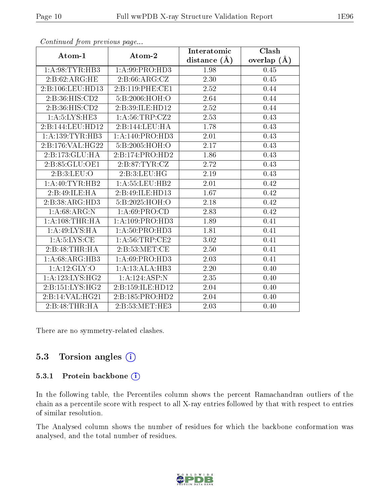|                     |                     | Interatomic       | Clash             |  |
|---------------------|---------------------|-------------------|-------------------|--|
| Atom-1              | Atom-2              | distance $(A)$    | overlap $(A)$     |  |
| 1: A:98: TYR: HB3   | 1:A:99:PRO:HD3      | 1.98              | 0.45              |  |
| 2:B:62:ARG:HE       | 2: B:66: ARG: CZ    | 2.30              | 0.45              |  |
| 2:B:106:LEU:HD13    | 2:B:119:PHE:CE1     | 2.52              | 0.44              |  |
| 2:B:36:HIS:CD2      | 5:B:2006:HOH:O      | 2.64              | 0.44              |  |
| 2:B:36:HIS:CD2      | 2:B:39:ILE:HD12     | 2.52              | 0.44              |  |
| 1: A:5:LYS:HE3      | 1: A:56:TRP: CZ2    | 2.53              | 0.43              |  |
| 2:B:144:LEU:HD12    | 2:B:144:LEU:HA      | 1.78              | 0.43              |  |
| 1:A:139:TYR:HB3     | 1:A:140:PRO:HD3     | 2.01              | 0.43              |  |
| 2:B:176:VAL:HG22    | 5:B:2005:HOH:O      | 2.17              | 0.43              |  |
| 2:B:173:GLU:HA      | 2:B:174:PRO:HD2     | 1.86              | 0.43              |  |
| 2:B:85:GLU:OE1      | 2:B:87:TYR:CZ       | 2.72              | 0.43              |  |
| 2:B:3:LEU:O         | 2:B:3:LEU:HG        | 2.19              | 0.43              |  |
| 1:A:40:TYR:HB2      | 1: A: 55: LEU: HB2  | 2.01              | 0.42              |  |
| 2:B:49:ILE:HA       | 2:B:49:ILE:HD13     | $\overline{1.67}$ | 0.42              |  |
| 2:B:38:ARG:HD3      | 5:B:2025:HOH:O      | 2.18              | 0.42              |  |
| 1: A:68:ARG:N       | 1: A:69: PRO:CD     | 2.83              | 0.42              |  |
| 1: A:108:THR:HA     | 1: A: 109: PRO: HD3 | 1.89              | 0.41              |  |
| 1: A:49: LYS: HA    | 1:A:50:PRO:HD3      | 1.81              | 0.41              |  |
| 1: A:5: LYS: CE     | 1: A:56:TRP:CE2     | 3.02              | 0.41              |  |
| 2:B:48:THR:H        | 2: B:53:MET:CE      | 2.50              | 0.41              |  |
| 1:A:68:ARG:HB3      | 1:A:69:PRO:HD3      | $\overline{2.03}$ | $\overline{0.41}$ |  |
| 1:A:12:GLY:O        | 1:A:13:ALA:HB3      | 2.20              | 0.40              |  |
| 1: A: 123: LYS: HG2 | 1:A:124:ASP:N       | 2.35              | 0.40              |  |
| 2: B: 151: LYS: HG2 | 2:B:159:ILE:HD12    | 2.04              | 0.40              |  |
| 2:B:14:VAL:HG21     | 2:B:185:PRO:HD2     | 2.04              | 0.40              |  |
| 2:B:48:THR:HA       | 2:B:53:MET:HE3      | 2.03              | 0.40              |  |

Continued from previous page...

There are no symmetry-related clashes.

# 5.3 Torsion angles (i)

#### 5.3.1 Protein backbone (i)

In the following table, the Percentiles column shows the percent Ramachandran outliers of the chain as a percentile score with respect to all X-ray entries followed by that with respect to entries of similar resolution.

The Analysed column shows the number of residues for which the backbone conformation was analysed, and the total number of residues.

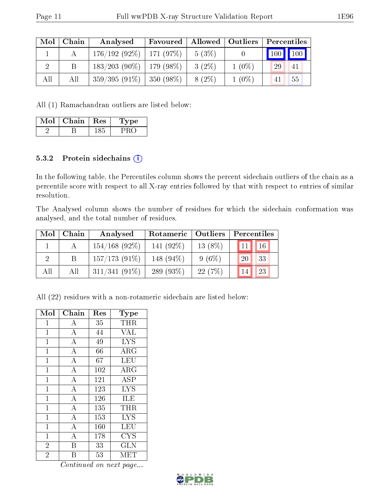| Mol | Chain | Analysed                      | Allowed   Outliers  <br>Favoured |          |          | Percentiles                  |  |  |
|-----|-------|-------------------------------|----------------------------------|----------|----------|------------------------------|--|--|
|     |       | $176/192(92\%)$   171 (97\%)  |                                  | 5(3%)    |          | $\mid$ 100 $\mid$ 100 $\mid$ |  |  |
|     |       | $183/203$ (90\%)   179 (98\%) |                                  | $3(2\%)$ | $1(0\%)$ | 29<br>41                     |  |  |
| All | Аll   | $359/395(91\%)$               | $\frac{1}{350}$ (98%)            | $8(2\%)$ | $1(0\%)$ | 55<br>41                     |  |  |

All (1) Ramachandran outliers are listed below:

| Mol | Chain | $\pm$ Res $^+$ | Type |
|-----|-------|----------------|------|
|     |       |                |      |

### 5.3.2 Protein sidechains (i)

In the following table, the Percentiles column shows the percent sidechain outliers of the chain as a percentile score with respect to all X-ray entries followed by that with respect to entries of similar resolution.

The Analysed column shows the number of residues for which the sidechain conformation was analysed, and the total number of residues.

| Mol | Chain | Analysed         |              | Rotameric   Outliers |                    | Percentiles |  |  |
|-----|-------|------------------|--------------|----------------------|--------------------|-------------|--|--|
|     |       | $154/168$ (92\%) | 141 $(92\%)$ | $13(8\%)$            | $\vert$ 11 $\vert$ | 16          |  |  |
|     |       | $157/173(91\%)$  | 148 (94\%)   | $9(6\%)$             | 20                 | 33          |  |  |
| All | All   | $311/341(91\%)$  | 289 $(93\%)$ | 22(7%)               | 14                 | 23          |  |  |

All (22) residues with a non-rotameric sidechain are listed below:

| Mol            | Chain              | Res | Type                  |
|----------------|--------------------|-----|-----------------------|
| $\mathbf 1$    | A                  | 35  | THR                   |
| $\mathbf 1$    | $\boldsymbol{A}$   | 44  | <b>VAL</b>            |
| $\mathbf{1}$   | $\overline{A}$     | 49  | <b>LYS</b>            |
| $\mathbf{1}$   | $\boldsymbol{A}$   | 66  | $\rm{ARG}$            |
| $\mathbf{1}$   | $\boldsymbol{A}$   | 67  | LEU                   |
| $\overline{1}$ | $\overline{\rm A}$ | 102 | $\overline{\rm{ARG}}$ |
| $\mathbf{1}$   | $\boldsymbol{A}$   | 121 | <b>ASP</b>            |
| $\overline{1}$ | $\overline{\rm A}$ | 123 | <b>LYS</b>            |
| $\overline{1}$ | $\overline{\rm A}$ | 126 | ILE                   |
| $\mathbf 1$    | $\overline{A}$     | 135 | THR                   |
| $\overline{1}$ | $\boldsymbol{A}$   | 153 | <b>LYS</b>            |
| $\mathbf{1}$   | $\overline{A}$     | 160 | <b>LEU</b>            |
| $\mathbf 1$    | $\overline{A}$     | 178 | CYS                   |
| $\overline{2}$ | В                  | 33  | GLN                   |
| $\overline{2}$ | B                  | 53  | MET                   |

Continued on next page...

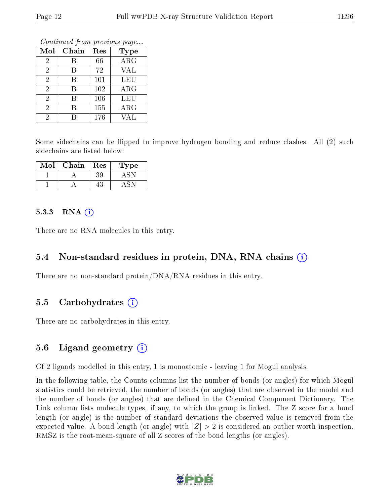Continued from previous page...

| Mol            | Chain | Res | <b>Type</b> |
|----------------|-------|-----|-------------|
| $\overline{2}$ | В     | 66  | ARG         |
| $\overline{2}$ | В     | 72  | VAL         |
| $\overline{2}$ | В     | 101 | LEU         |
| $\overline{2}$ | B     | 102 | $\rm{ARG}$  |
| 2              | R     | 106 | LEU         |
| 2              | В     | 155 | ARG         |
|                |       | 176 | VAL         |

Some sidechains can be flipped to improve hydrogen bonding and reduce clashes. All (2) such sidechains are listed below:

| Mol | ${\bf Chain}$ | Res | Type |
|-----|---------------|-----|------|
|     |               | 39  |      |
|     |               |     |      |

#### $5.3.3$  RNA  $(i)$

There are no RNA molecules in this entry.

### 5.4 Non-standard residues in protein, DNA, RNA chains (i)

There are no non-standard protein/DNA/RNA residues in this entry.

# 5.5 Carbohydrates (i)

There are no carbohydrates in this entry.

# 5.6 Ligand geometry  $(i)$

Of 2 ligands modelled in this entry, 1 is monoatomic - leaving 1 for Mogul analysis.

In the following table, the Counts columns list the number of bonds (or angles) for which Mogul statistics could be retrieved, the number of bonds (or angles) that are observed in the model and the number of bonds (or angles) that are defined in the Chemical Component Dictionary. The Link column lists molecule types, if any, to which the group is linked. The Z score for a bond length (or angle) is the number of standard deviations the observed value is removed from the expected value. A bond length (or angle) with  $|Z| > 2$  is considered an outlier worth inspection. RMSZ is the root-mean-square of all Z scores of the bond lengths (or angles).

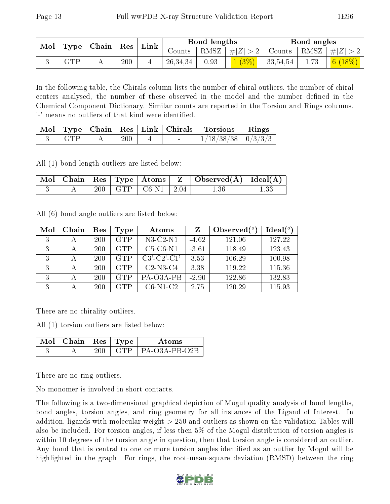| $\mid$ Mol $\mid$ Type $\mid$ Chain $\mid$ Res $\mid$ Link $\mid$ |  |     |  | Bond lengths |      |          | Bond angles |      |                                                                              |
|-------------------------------------------------------------------|--|-----|--|--------------|------|----------|-------------|------|------------------------------------------------------------------------------|
|                                                                   |  |     |  | Counts       |      |          |             |      | $\mid$ RMSZ $\mid \#  Z  > 2 \mid$ Counts $\mid$ RMSZ $\mid \#  Z  > 2 \mid$ |
| <b>GTP</b>                                                        |  | 200 |  | 26,34,34     | 0.93 | $1(3\%)$ | 33,54,54    | 1.73 | $\mid$ $6 \ (18\%) \mid$                                                     |

In the following table, the Chirals column lists the number of chiral outliers, the number of chiral centers analysed, the number of these observed in the model and the number defined in the Chemical Component Dictionary. Similar counts are reported in the Torsion and Rings columns. '-' means no outliers of that kind were identified.

|            |     | Mol   Type   Chain   Res   Link   Chirals | <b>Torsions</b>          | Rings |
|------------|-----|-------------------------------------------|--------------------------|-------|
| <b>GTP</b> | 200 | $\sim$                                    | $1/18/38/38$   $0/3/3/3$ |       |

All (1) bond length outliers are listed below:

|  |  |                            | $\mid$ Mol $\mid$ Chain $\mid$ Res $\mid$ Type $\mid$ Atoms $\mid$ Z $\mid$ Observed(Å) $\mid$ Ideal(Å) $\mid$ |  |
|--|--|----------------------------|----------------------------------------------------------------------------------------------------------------|--|
|  |  | $200$   GTP   C6-N1   2.04 | 1.36                                                                                                           |  |

All (6) bond angle outliers are listed below:

| Mol | Chain | Res | Type       | Atoms          | Ζ       | Observed $(°)$ | $Ideal(^o)$ |
|-----|-------|-----|------------|----------------|---------|----------------|-------------|
| 3   |       | 200 | <b>GTP</b> | $N3$ -C2- $N1$ | $-4.62$ | 121.06         | 127.22      |
| 3   |       | 200 | <b>GTP</b> | $C5-C6-N1$     | $-3.61$ | 118.49         | 123.43      |
| 3   |       | 200 | <b>GTP</b> | $C3'-C2'-C1'$  | 3.53    | 106.29         | 100.98      |
| 3   |       | 200 | <b>GTP</b> | $C2-N3-C4$     | 3.38    | 119.22         | 115.36      |
| 3   |       | 200 | <b>GTP</b> | PA-03A-PB      | $-2.90$ | 122.86         | 132.83      |
| 3   |       | 200 | <b>GTP</b> | $C6-N1-C2$     | 2.75    | 120.29         | 115.93      |

There are no chirality outliers.

All (1) torsion outliers are listed below:

| $\sqrt{\text{Mol}}$   Chain   Res   Type ' |  | Atoms              |
|--------------------------------------------|--|--------------------|
|                                            |  | $P_{A}-O3A-PB-O2B$ |

There are no ring outliers.

No monomer is involved in short contacts.

The following is a two-dimensional graphical depiction of Mogul quality analysis of bond lengths, bond angles, torsion angles, and ring geometry for all instances of the Ligand of Interest. In addition, ligands with molecular weight > 250 and outliers as shown on the validation Tables will also be included. For torsion angles, if less then 5% of the Mogul distribution of torsion angles is within 10 degrees of the torsion angle in question, then that torsion angle is considered an outlier. Any bond that is central to one or more torsion angles identified as an outlier by Mogul will be highlighted in the graph. For rings, the root-mean-square deviation (RMSD) between the ring

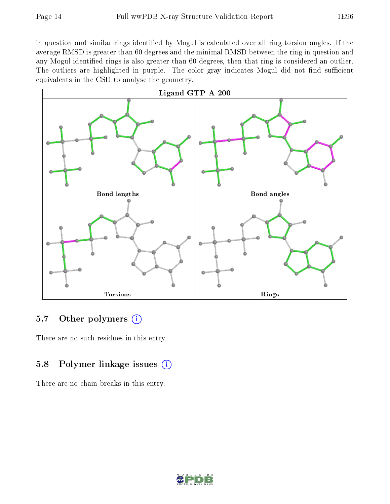in question and similar rings identified by Mogul is calculated over all ring torsion angles. If the average RMSD is greater than 60 degrees and the minimal RMSD between the ring in question and any Mogul-identified rings is also greater than 60 degrees, then that ring is considered an outlier. The outliers are highlighted in purple. The color gray indicates Mogul did not find sufficient equivalents in the CSD to analyse the geometry.



# 5.7 [O](https://www.wwpdb.org/validation/2017/XrayValidationReportHelp#nonstandard_residues_and_ligands)ther polymers  $(i)$

There are no such residues in this entry.

# 5.8 Polymer linkage issues  $(i)$

There are no chain breaks in this entry.